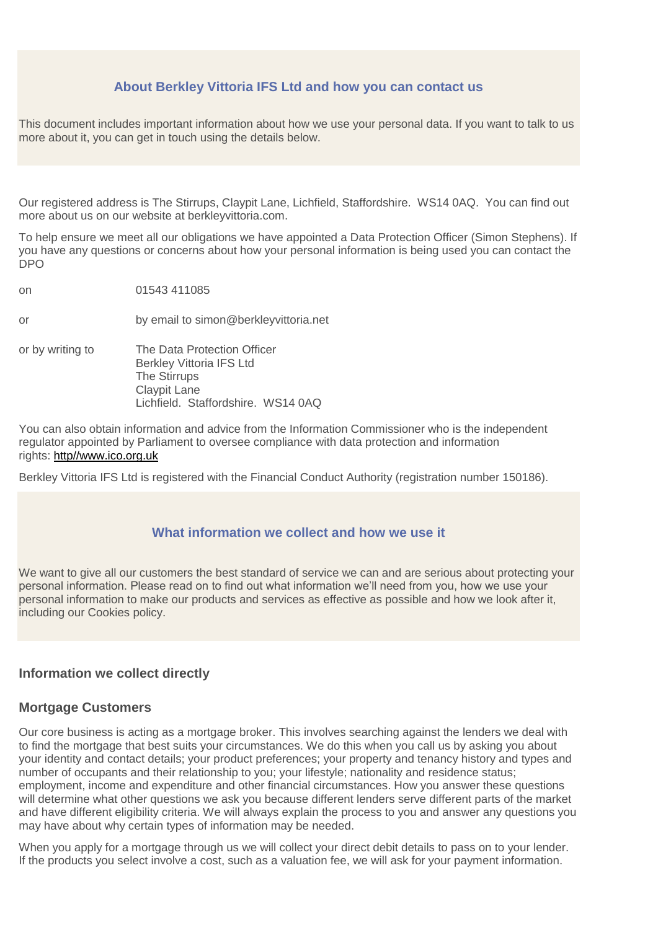## **About Berkley Vittoria IFS Ltd and how you can contact us**

This document includes important information about how we use your personal data. If you want to talk to us more about it, you can get in touch using the details below.

Our registered address is The Stirrups, Claypit Lane, Lichfield, Staffordshire. WS14 0AQ. You can find out more about us on our website at berkleyvittoria.com.

To help ensure we meet all our obligations we have appointed a Data Protection Officer (Simon Stephens). If you have any questions or concerns about how your personal information is being used you can contact the DPO

on 01543 411085 or by email to simon@berkleyvittoria.net or by writing to The Data Protection Officer Berkley Vittoria IFS Ltd The Stirrups Claypit Lane Lichfield. Staffordshire. WS14 0AQ

You can also obtain information and advice from the Information Commissioner who is the independent regulator appointed by Parliament to oversee compliance with data protection and information rights: [http//www.ico.org.uk](mail:http//www.ico.org.uk)

Berkley Vittoria IFS Ltd is registered with the Financial Conduct Authority (registration number 150186).

### **What information we collect and how we use it**

We want to give all our customers the best standard of service we can and are serious about protecting your personal information. Please read on to find out what information we'll need from you, how we use your personal information to make our products and services as effective as possible and how we look after it, including our Cookies policy.

#### **Information we collect directly**

#### **Mortgage Customers**

Our core business is acting as a mortgage broker. This involves searching against the lenders we deal with to find the mortgage that best suits your circumstances. We do this when you call us by asking you about your identity and contact details; your product preferences; your property and tenancy history and types and number of occupants and their relationship to you; your lifestyle; nationality and residence status; employment, income and expenditure and other financial circumstances. How you answer these questions will determine what other questions we ask you because different lenders serve different parts of the market and have different eligibility criteria. We will always explain the process to you and answer any questions you may have about why certain types of information may be needed.

When you apply for a mortgage through us we will collect your direct debit details to pass on to your lender. If the products you select involve a cost, such as a valuation fee, we will ask for your payment information.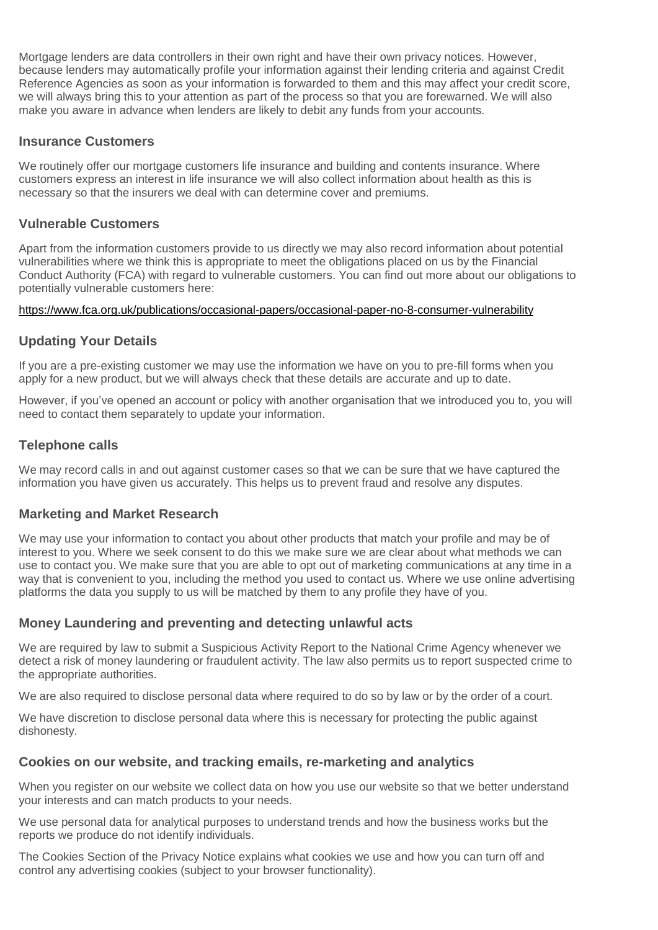Mortgage lenders are data controllers in their own right and have their own privacy notices. However, because lenders may automatically profile your information against their lending criteria and against Credit Reference Agencies as soon as your information is forwarded to them and this may affect your credit score, we will always bring this to your attention as part of the process so that you are forewarned. We will also make you aware in advance when lenders are likely to debit any funds from your accounts.

### **Insurance Customers**

We routinely offer our mortgage customers life insurance and building and contents insurance. Where customers express an interest in life insurance we will also collect information about health as this is necessary so that the insurers we deal with can determine cover and premiums.

## **Vulnerable Customers**

Apart from the information customers provide to us directly we may also record information about potential vulnerabilities where we think this is appropriate to meet the obligations placed on us by the Financial Conduct Authority (FCA) with regard to vulnerable customers. You can find out more about our obligations to potentially vulnerable customers here:

#### <https://www.fca.org.uk/publications/occasional-papers/occasional-paper-no-8-consumer-vulnerability>

## **Updating Your Details**

If you are a pre-existing customer we may use the information we have on you to pre-fill forms when you apply for a new product, but we will always check that these details are accurate and up to date.

However, if you've opened an account or policy with another organisation that we introduced you to, you will need to contact them separately to update your information.

### **Telephone calls**

We may record calls in and out against customer cases so that we can be sure that we have captured the information you have given us accurately. This helps us to prevent fraud and resolve any disputes.

## **Marketing and Market Research**

We may use your information to contact you about other products that match your profile and may be of interest to you. Where we seek consent to do this we make sure we are clear about what methods we can use to contact you. We make sure that you are able to opt out of marketing communications at any time in a way that is convenient to you, including the method you used to contact us. Where we use online advertising platforms the data you supply to us will be matched by them to any profile they have of you.

## **Money Laundering and preventing and detecting unlawful acts**

We are required by law to submit a Suspicious Activity Report to the National Crime Agency whenever we detect a risk of money laundering or fraudulent activity. The law also permits us to report suspected crime to the appropriate authorities.

We are also required to disclose personal data where required to do so by law or by the order of a court.

We have discretion to disclose personal data where this is necessary for protecting the public against dishonesty.

#### **Cookies on our website, and tracking emails, re-marketing and analytics**

When you register on our website we collect data on how you use our website so that we better understand your interests and can match products to your needs.

We use personal data for analytical purposes to understand trends and how the business works but the reports we produce do not identify individuals.

The Cookies Section of the Privacy Notice explains what cookies we use and how you can turn off and control any advertising cookies (subject to your browser functionality).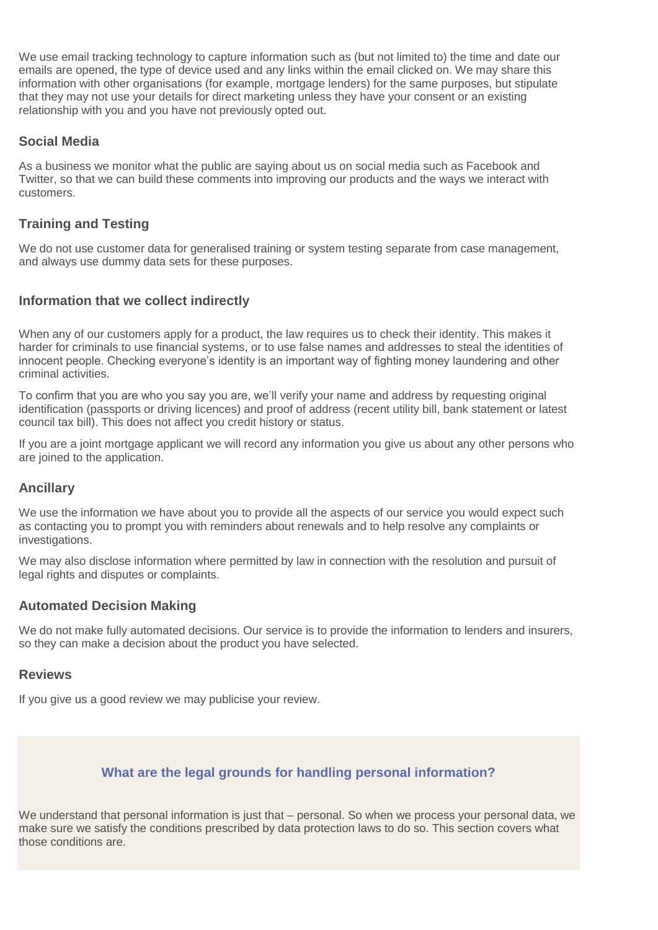We use email tracking technology to capture information such as (but not limited to) the time and date our emails are opened, the type of device used and any links within the email clicked on. We may share this information with other organisations (for example, mortgage lenders) for the same purposes, but stipulate that they may not use your details for direct marketing unless they have your consent or an existing relationship with you and you have not previously opted out.

## **Social Media**

As a business we monitor what the public are saying about us on social media such as Facebook and Twitter, so that we can build these comments into improving our products and the ways we interact with customers.

## **Training and Testing**

We do not use customer data for generalised training or system testing separate from case management, and always use dummy data sets for these purposes.

### **Information that we collect indirectly**

When any of our customers apply for a product, the law requires us to check their identity. This makes it harder for criminals to use financial systems, or to use false names and addresses to steal the identities of innocent people. Checking everyone's identity is an important way of fighting money laundering and other criminal activities.

To confirm that you are who you say you are, we'll verify your name and address by requesting original identification (passports or driving licences) and proof of address (recent utility bill, bank statement or latest council tax bill). This does not affect you credit history or status.

If you are a joint mortgage applicant we will record any information you give us about any other persons who are joined to the application.

## **Ancillary**

We use the information we have about you to provide all the aspects of our service you would expect such as contacting you to prompt you with reminders about renewals and to help resolve any complaints or investigations.

We may also disclose information where permitted by law in connection with the resolution and pursuit of legal rights and disputes or complaints.

#### **Automated Decision Making**

We do not make fully automated decisions. Our service is to provide the information to lenders and insurers, so they can make a decision about the product you have selected.

#### **Reviews**

If you give us a good review we may publicise your review.

## **What are the legal grounds for handling personal information?**

We understand that personal information is just that – personal. So when we process your personal data, we make sure we satisfy the conditions prescribed by data protection laws to do so. This section covers what those conditions are.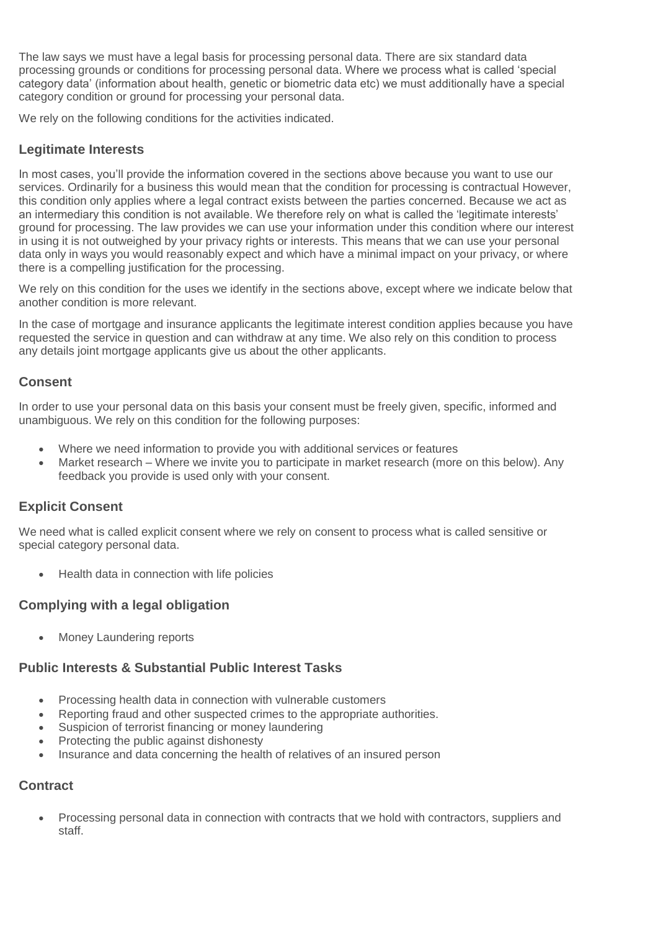The law says we must have a legal basis for processing personal data. There are six standard data processing grounds or conditions for processing personal data. Where we process what is called 'special category data' (information about health, genetic or biometric data etc) we must additionally have a special category condition or ground for processing your personal data.

We rely on the following conditions for the activities indicated.

# **Legitimate Interests**

In most cases, you'll provide the information covered in the sections above because you want to use our services. Ordinarily for a business this would mean that the condition for processing is contractual However, this condition only applies where a legal contract exists between the parties concerned. Because we act as an intermediary this condition is not available. We therefore rely on what is called the 'legitimate interests' ground for processing. The law provides we can use your information under this condition where our interest in using it is not outweighed by your privacy rights or interests. This means that we can use your personal data only in ways you would reasonably expect and which have a minimal impact on your privacy, or where there is a compelling justification for the processing.

We rely on this condition for the uses we identify in the sections above, except where we indicate below that another condition is more relevant.

In the case of mortgage and insurance applicants the legitimate interest condition applies because you have requested the service in question and can withdraw at any time. We also rely on this condition to process any details joint mortgage applicants give us about the other applicants.

## **Consent**

In order to use your personal data on this basis your consent must be freely given, specific, informed and unambiguous. We rely on this condition for the following purposes:

- Where we need information to provide you with additional services or features
- Market research Where we invite you to participate in market research (more on this below). Any feedback you provide is used only with your consent.

# **Explicit Consent**

We need what is called explicit consent where we rely on consent to process what is called sensitive or special category personal data.

• Health data in connection with life policies

# **Complying with a legal obligation**

• Money Laundering reports

## **Public Interests & Substantial Public Interest Tasks**

- Processing health data in connection with vulnerable customers
- Reporting fraud and other suspected crimes to the appropriate authorities.
- Suspicion of terrorist financing or money laundering
- Protecting the public against dishonesty
- Insurance and data concerning the health of relatives of an insured person

## **Contract**

• Processing personal data in connection with contracts that we hold with contractors, suppliers and staff.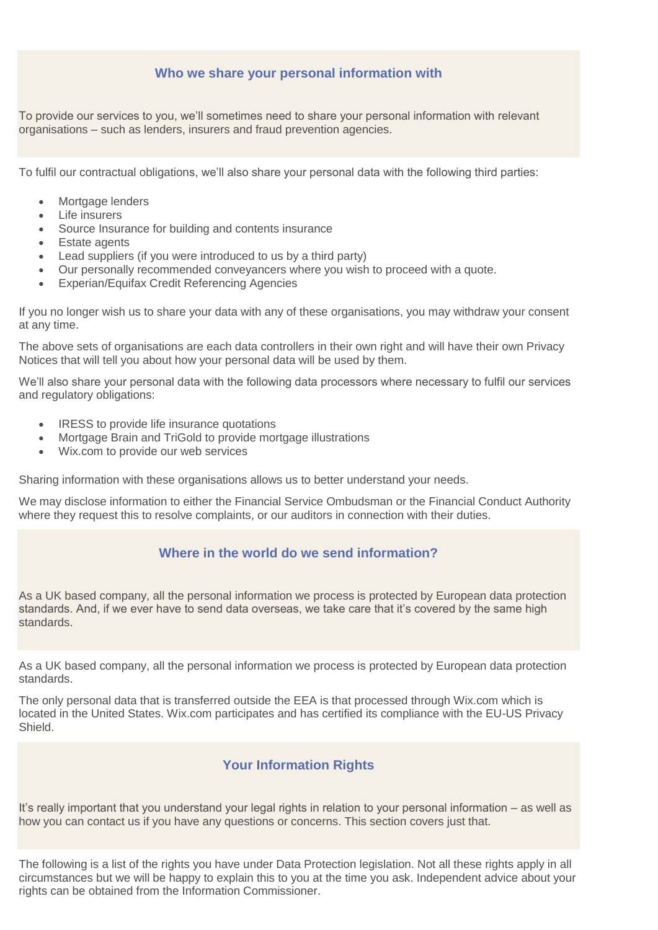### **Who we share your personal information with**

To provide our services to you, we'll sometimes need to share your personal information with relevant organisations – such as lenders, insurers and fraud prevention agencies.

To fulfil our contractual obligations, we'll also share your personal data with the following third parties:

- Mortgage lenders
- Life insurers
- Source Insurance for building and contents insurance
- Estate agents
- Lead suppliers (if you were introduced to us by a third party)
- Our personally recommended conveyancers where you wish to proceed with a quote.
- Experian/Equifax Credit Referencing Agencies

If you no longer wish us to share your data with any of these organisations, you may withdraw your consent at any time.

The above sets of organisations are each data controllers in their own right and will have their own Privacy Notices that will tell you about how your personal data will be used by them.

We'll also share your personal data with the following data processors where necessary to fulfil our services and regulatory obligations:

- IRESS to provide life insurance quotations
- Mortgage Brain and TriGold to provide mortgage illustrations
- Wix.com to provide our web services

Sharing information with these organisations allows us to better understand your needs.

We may disclose information to either the Financial Service Ombudsman or the Financial Conduct Authority where they request this to resolve complaints, or our auditors in connection with their duties.

# **Where in the world do we send information?**

As a UK based company, all the personal information we process is protected by European data protection standards. And, if we ever have to send data overseas, we take care that it's covered by the same high standards.

As a UK based company, all the personal information we process is protected by European data protection standards.

The only personal data that is transferred outside the EEA is that processed through Wix.com which is located in the United States. Wix.com participates and has certified its compliance with the EU-US Privacy **Shield** 

# **Your Information Rights**

It's really important that you understand your legal rights in relation to your personal information – as well as how you can contact us if you have any questions or concerns. This section covers just that.

The following is a list of the rights you have under Data Protection legislation. Not all these rights apply in all circumstances but we will be happy to explain this to you at the time you ask. Independent advice about your rights can be obtained from the Information Commissioner.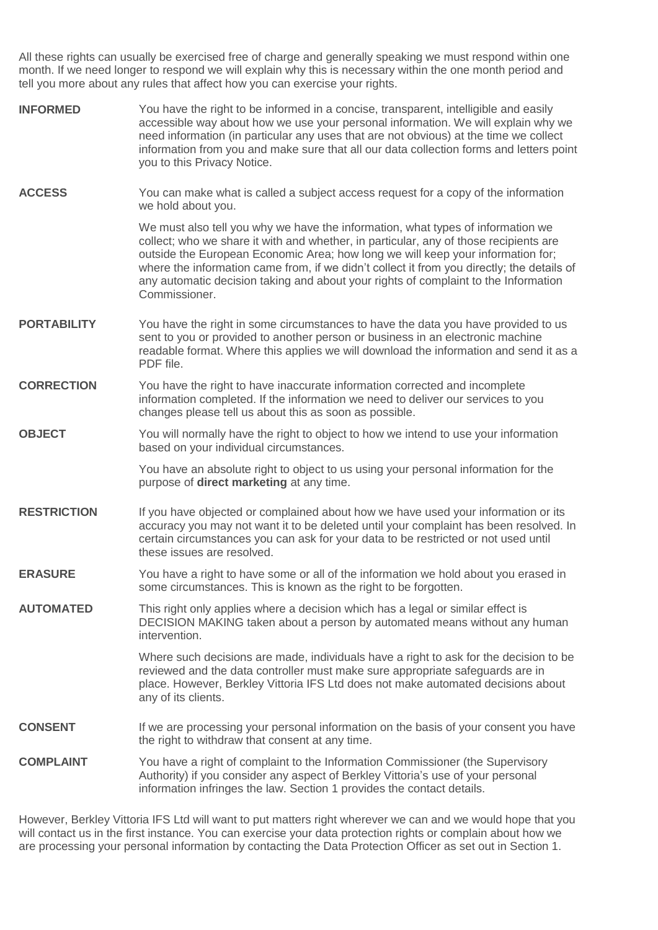All these rights can usually be exercised free of charge and generally speaking we must respond within one month. If we need longer to respond we will explain why this is necessary within the one month period and tell you more about any rules that affect how you can exercise your rights.

**INFORMED** You have the right to be informed in a concise, transparent, intelligible and easily accessible way about how we use your personal information. We will explain why we need information (in particular any uses that are not obvious) at the time we collect information from you and make sure that all our data collection forms and letters point you to this Privacy Notice. **ACCESS** You can make what is called a subject access request for a copy of the information we hold about you. We must also tell you why we have the information, what types of information we collect; who we share it with and whether, in particular, any of those recipients are outside the European Economic Area; how long we will keep your information for; where the information came from, if we didn't collect it from you directly; the details of any automatic decision taking and about your rights of complaint to the Information Commissioner. **PORTABILITY** You have the right in some circumstances to have the data you have provided to us sent to you or provided to another person or business in an electronic machine readable format. Where this applies we will download the information and send it as a PDF file. **CORRECTION** You have the right to have inaccurate information corrected and incomplete information completed. If the information we need to deliver our services to you changes please tell us about this as soon as possible. **OBJECT** You will normally have the right to object to how we intend to use your information based on your individual circumstances. You have an absolute right to object to us using your personal information for the purpose of **direct marketing** at any time. **RESTRICTION** If you have objected or complained about how we have used your information or its accuracy you may not want it to be deleted until your complaint has been resolved. In certain circumstances you can ask for your data to be restricted or not used until these issues are resolved. **ERASURE** You have a right to have some or all of the information we hold about you erased in some circumstances. This is known as the right to be forgotten. **AUTOMATED** This right only applies where a decision which has a legal or similar effect is DECISION MAKING taken about a person by automated means without any human intervention. Where such decisions are made, individuals have a right to ask for the decision to be reviewed and the data controller must make sure appropriate safeguards are in place. However, Berkley Vittoria IFS Ltd does not make automated decisions about any of its clients. **CONSENT** If we are processing your personal information on the basis of your consent you have the right to withdraw that consent at any time. **COMPLAINT** You have a right of complaint to the Information Commissioner (the Supervisory Authority) if you consider any aspect of Berkley Vittoria's use of your personal information infringes the law. Section 1 provides the contact details.

However, Berkley Vittoria IFS Ltd will want to put matters right wherever we can and we would hope that you will contact us in the first instance. You can exercise your data protection rights or complain about how we are processing your personal information by contacting the Data Protection Officer as set out in Section 1.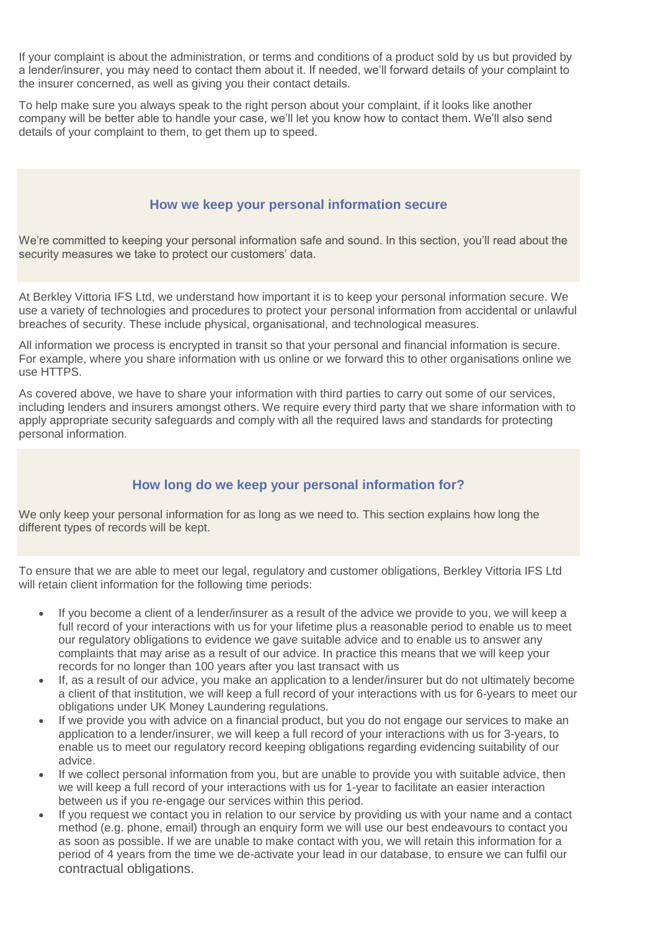If your complaint is about the administration, or terms and conditions of a product sold by us but provided by a lender/insurer, you may need to contact them about it. If needed, we'll forward details of your complaint to the insurer concerned, as well as giving you their contact details.

To help make sure you always speak to the right person about your complaint, if it looks like another company will be better able to handle your case, we'll let you know how to contact them. We'll also send details of your complaint to them, to get them up to speed.

## **How we keep your personal information secure**

We're committed to keeping your personal information safe and sound. In this section, you'll read about the security measures we take to protect our customers' data.

At Berkley Vittoria IFS Ltd, we understand how important it is to keep your personal information secure. We use a variety of technologies and procedures to protect your personal information from accidental or unlawful breaches of security. These include physical, organisational, and technological measures.

All information we process is encrypted in transit so that your personal and financial information is secure. For example, where you share information with us online or we forward this to other organisations online we use HTTPS.

As covered above, we have to share your information with third parties to carry out some of our services, including lenders and insurers amongst others. We require every third party that we share information with to apply appropriate security safeguards and comply with all the required laws and standards for protecting personal information.

## **How long do we keep your personal information for?**

We only keep your personal information for as long as we need to. This section explains how long the different types of records will be kept.

To ensure that we are able to meet our legal, regulatory and customer obligations, Berkley Vittoria IFS Ltd will retain client information for the following time periods:

- If you become a client of a lender/insurer as a result of the advice we provide to you, we will keep a full record of your interactions with us for your lifetime plus a reasonable period to enable us to meet our regulatory obligations to evidence we gave suitable advice and to enable us to answer any complaints that may arise as a result of our advice. In practice this means that we will keep your records for no longer than 100 years after you last transact with us
- If, as a result of our advice, you make an application to a lender/insurer but do not ultimately become a client of that institution, we will keep a full record of your interactions with us for 6-years to meet our obligations under UK Money Laundering regulations.
- If we provide you with advice on a financial product, but you do not engage our services to make an application to a lender/insurer, we will keep a full record of your interactions with us for 3-years, to enable us to meet our regulatory record keeping obligations regarding evidencing suitability of our advice.
- If we collect personal information from you, but are unable to provide you with suitable advice, then we will keep a full record of your interactions with us for 1-year to facilitate an easier interaction between us if you re-engage our services within this period.
- If you request we contact you in relation to our service by providing us with your name and a contact method (e.g. phone, email) through an enquiry form we will use our best endeavours to contact you as soon as possible. If we are unable to make contact with you, we will retain this information for a period of 4 years from the time we de-activate your lead in our database, to ensure we can fulfil our contractual obligations.